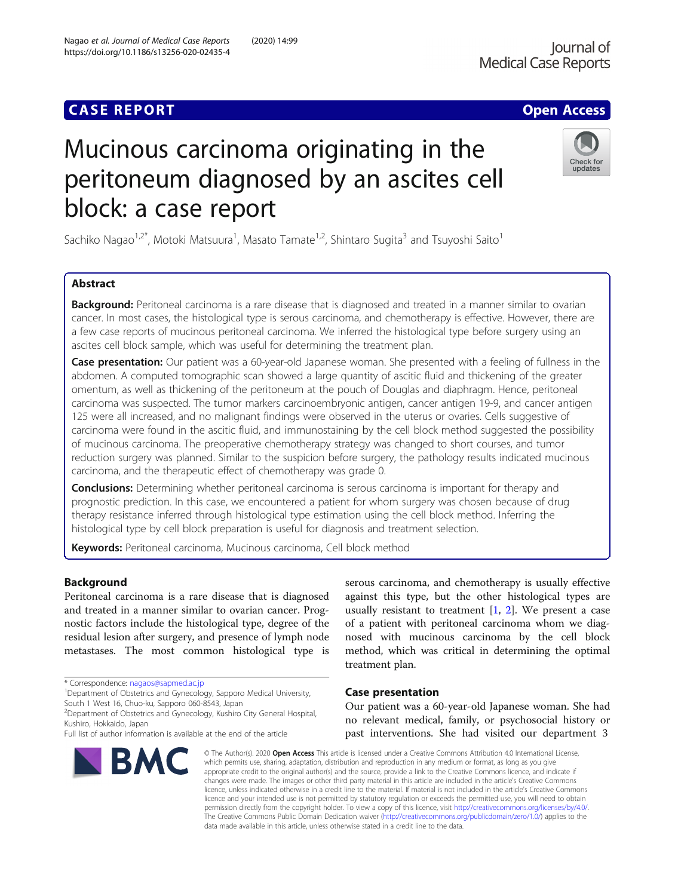## **CASE REPORT CASE ACCESS**

# Mucinous carcinoma originating in the peritoneum diagnosed by an ascites cell block: a case report

Sachiko Nagao<sup>1,2\*</sup>, Motoki Matsuura<sup>1</sup>, Masato Tamate<sup>1,2</sup>, Shintaro Sugita<sup>3</sup> and Tsuyoshi Saito<sup>1</sup>

### Abstract

Background: Peritoneal carcinoma is a rare disease that is diagnosed and treated in a manner similar to ovarian cancer. In most cases, the histological type is serous carcinoma, and chemotherapy is effective. However, there are a few case reports of mucinous peritoneal carcinoma. We inferred the histological type before surgery using an ascites cell block sample, which was useful for determining the treatment plan.

Case presentation: Our patient was a 60-year-old Japanese woman. She presented with a feeling of fullness in the abdomen. A computed tomographic scan showed a large quantity of ascitic fluid and thickening of the greater omentum, as well as thickening of the peritoneum at the pouch of Douglas and diaphragm. Hence, peritoneal carcinoma was suspected. The tumor markers carcinoembryonic antigen, cancer antigen 19-9, and cancer antigen 125 were all increased, and no malignant findings were observed in the uterus or ovaries. Cells suggestive of carcinoma were found in the ascitic fluid, and immunostaining by the cell block method suggested the possibility of mucinous carcinoma. The preoperative chemotherapy strategy was changed to short courses, and tumor reduction surgery was planned. Similar to the suspicion before surgery, the pathology results indicated mucinous carcinoma, and the therapeutic effect of chemotherapy was grade 0.

**Conclusions:** Determining whether peritoneal carcinoma is serous carcinoma is important for therapy and prognostic prediction. In this case, we encountered a patient for whom surgery was chosen because of drug therapy resistance inferred through histological type estimation using the cell block method. Inferring the histological type by cell block preparation is useful for diagnosis and treatment selection.

Keywords: Peritoneal carcinoma, Mucinous carcinoma, Cell block method

#### Background

Peritoneal carcinoma is a rare disease that is diagnosed and treated in a manner similar to ovarian cancer. Prognostic factors include the histological type, degree of the residual lesion after surgery, and presence of lymph node metastases. The most common histological type is

\* Correspondence: [nagaos@sapmed.ac.jp](mailto:nagaos@sapmed.ac.jp) <sup>1</sup>

**BMC** 

<sup>1</sup>Department of Obstetrics and Gynecology, Sapporo Medical University, South 1 West 16, Chuo-ku, Sapporo 060-8543, Japan

2 Department of Obstetrics and Gynecology, Kushiro City General Hospital, Kushiro, Hokkaido, Japan



#### Case presentation

Our patient was a 60-year-old Japanese woman. She had no relevant medical, family, or psychosocial history or past interventions. She had visited our department 3

© The Author(s), 2020 **Open Access** This article is licensed under a Creative Commons Attribution 4.0 International License, which permits use, sharing, adaptation, distribution and reproduction in any medium or format, as long as you give appropriate credit to the original author(s) and the source, provide a link to the Creative Commons licence, and indicate if changes were made. The images or other third party material in this article are included in the article's Creative Commons licence, unless indicated otherwise in a credit line to the material. If material is not included in the article's Creative Commons licence and your intended use is not permitted by statutory regulation or exceeds the permitted use, you will need to obtain permission directly from the copyright holder. To view a copy of this licence, visit [http://creativecommons.org/licenses/by/4.0/.](http://creativecommons.org/licenses/by/4.0/) The Creative Commons Public Domain Dedication waiver [\(http://creativecommons.org/publicdomain/zero/1.0/](http://creativecommons.org/publicdomain/zero/1.0/)) applies to the data made available in this article, unless otherwise stated in a credit line to the data.

Nagao et al. Journal of Medical Case Reports (2020) 14:99 https://doi.org/10.1186/s13256-020-02435-4



lournal of



Full list of author information is available at the end of the article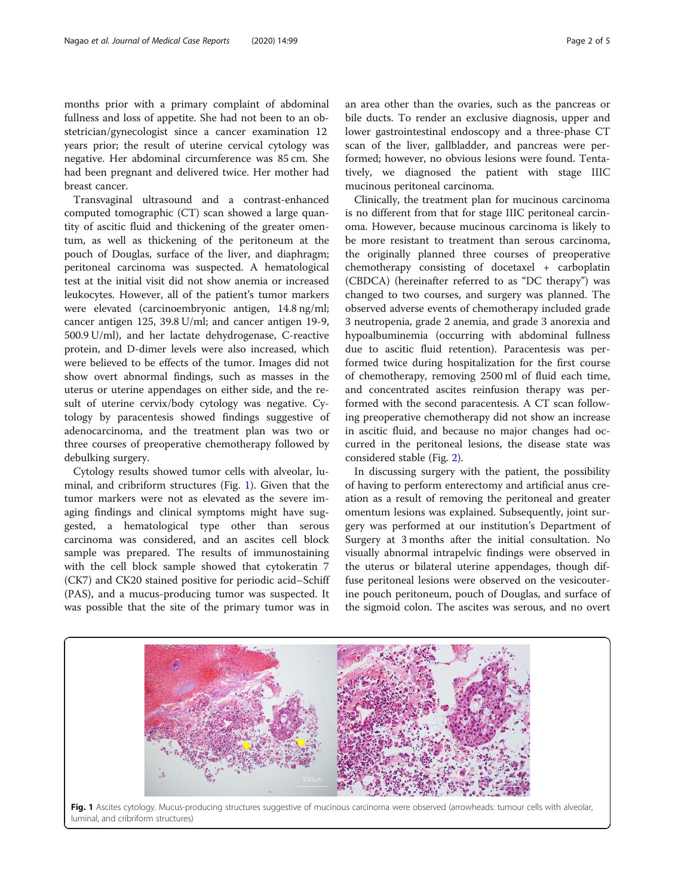months prior with a primary complaint of abdominal fullness and loss of appetite. She had not been to an obstetrician/gynecologist since a cancer examination 12 years prior; the result of uterine cervical cytology was negative. Her abdominal circumference was 85 cm. She had been pregnant and delivered twice. Her mother had breast cancer.

Transvaginal ultrasound and a contrast-enhanced computed tomographic (CT) scan showed a large quantity of ascitic fluid and thickening of the greater omentum, as well as thickening of the peritoneum at the pouch of Douglas, surface of the liver, and diaphragm; peritoneal carcinoma was suspected. A hematological test at the initial visit did not show anemia or increased leukocytes. However, all of the patient's tumor markers were elevated (carcinoembryonic antigen, 14.8 ng/ml; cancer antigen 125, 39.8 U/ml; and cancer antigen 19-9, 500.9 U/ml), and her lactate dehydrogenase, C-reactive protein, and D-dimer levels were also increased, which were believed to be effects of the tumor. Images did not show overt abnormal findings, such as masses in the uterus or uterine appendages on either side, and the result of uterine cervix/body cytology was negative. Cytology by paracentesis showed findings suggestive of adenocarcinoma, and the treatment plan was two or three courses of preoperative chemotherapy followed by debulking surgery.

Cytology results showed tumor cells with alveolar, luminal, and cribriform structures (Fig. 1). Given that the tumor markers were not as elevated as the severe imaging findings and clinical symptoms might have suggested, a hematological type other than serous carcinoma was considered, and an ascites cell block sample was prepared. The results of immunostaining with the cell block sample showed that cytokeratin 7 (CK7) and CK20 stained positive for periodic acid–Schiff (PAS), and a mucus-producing tumor was suspected. It was possible that the site of the primary tumor was in an area other than the ovaries, such as the pancreas or bile ducts. To render an exclusive diagnosis, upper and lower gastrointestinal endoscopy and a three-phase CT scan of the liver, gallbladder, and pancreas were performed; however, no obvious lesions were found. Tentatively, we diagnosed the patient with stage IIIC mucinous peritoneal carcinoma.

Clinically, the treatment plan for mucinous carcinoma is no different from that for stage IIIC peritoneal carcinoma. However, because mucinous carcinoma is likely to be more resistant to treatment than serous carcinoma, the originally planned three courses of preoperative chemotherapy consisting of docetaxel + carboplatin (CBDCA) (hereinafter referred to as "DC therapy") was changed to two courses, and surgery was planned. The observed adverse events of chemotherapy included grade 3 neutropenia, grade 2 anemia, and grade 3 anorexia and hypoalbuminemia (occurring with abdominal fullness due to ascitic fluid retention). Paracentesis was performed twice during hospitalization for the first course of chemotherapy, removing 2500 ml of fluid each time, and concentrated ascites reinfusion therapy was performed with the second paracentesis. A CT scan following preoperative chemotherapy did not show an increase in ascitic fluid, and because no major changes had occurred in the peritoneal lesions, the disease state was considered stable (Fig. [2\)](#page-2-0).

In discussing surgery with the patient, the possibility of having to perform enterectomy and artificial anus creation as a result of removing the peritoneal and greater omentum lesions was explained. Subsequently, joint surgery was performed at our institution's Department of Surgery at 3 months after the initial consultation. No visually abnormal intrapelvic findings were observed in the uterus or bilateral uterine appendages, though diffuse peritoneal lesions were observed on the vesicouterine pouch peritoneum, pouch of Douglas, and surface of the sigmoid colon. The ascites was serous, and no overt



luminal, and cribriform structures)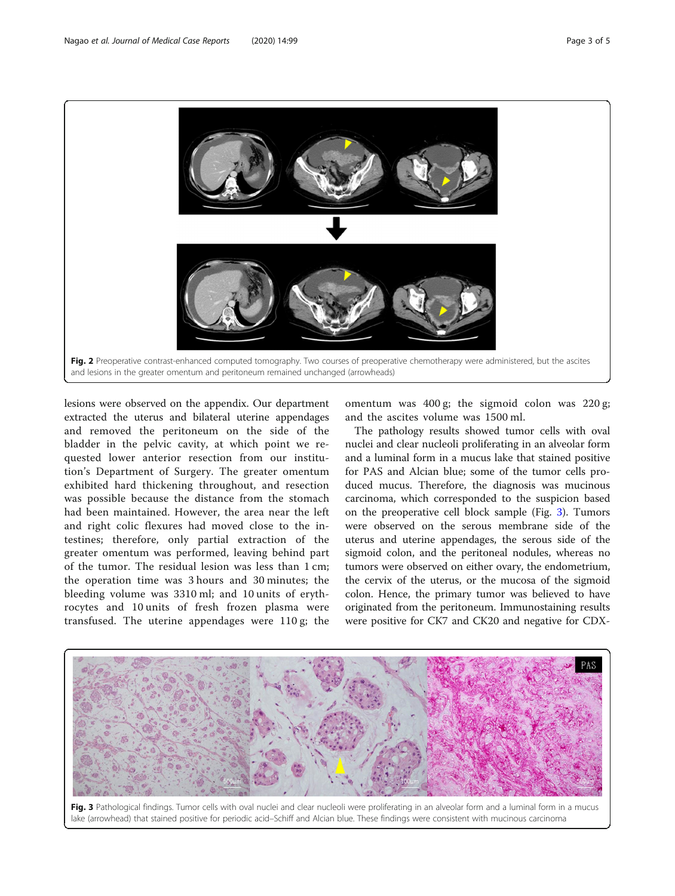lesions were observed on the appendix. Our department extracted the uterus and bilateral uterine appendages and removed the peritoneum on the side of the bladder in the pelvic cavity, at which point we requested lower anterior resection from our institution's Department of Surgery. The greater omentum exhibited hard thickening throughout, and resection was possible because the distance from the stomach had been maintained. However, the area near the left and right colic flexures had moved close to the intestines; therefore, only partial extraction of the greater omentum was performed, leaving behind part of the tumor. The residual lesion was less than 1 cm; the operation time was 3 hours and 30 minutes; the bleeding volume was 3310 ml; and 10 units of erythrocytes and 10 units of fresh frozen plasma were transfused. The uterine appendages were 110 g; the

omentum was 400 g; the sigmoid colon was 220 g; and the ascites volume was 1500 ml.

The pathology results showed tumor cells with oval nuclei and clear nucleoli proliferating in an alveolar form and a luminal form in a mucus lake that stained positive for PAS and Alcian blue; some of the tumor cells produced mucus. Therefore, the diagnosis was mucinous carcinoma, which corresponded to the suspicion based on the preoperative cell block sample (Fig. 3). Tumors were observed on the serous membrane side of the uterus and uterine appendages, the serous side of the sigmoid colon, and the peritoneal nodules, whereas no tumors were observed on either ovary, the endometrium, the cervix of the uterus, or the mucosa of the sigmoid colon. Hence, the primary tumor was believed to have originated from the peritoneum. Immunostaining results were positive for CK7 and CK20 and negative for CDX-

<span id="page-2-0"></span>





Fig. 3 Pathological findings. Tumor cells with oval nuclei and clear nucleoli were proliferating in an alveolar form and a luminal form in a mucus lake (arrowhead) that stained positive for periodic acid–Schiff and Alcian blue. These findings were consistent with mucinous carcinoma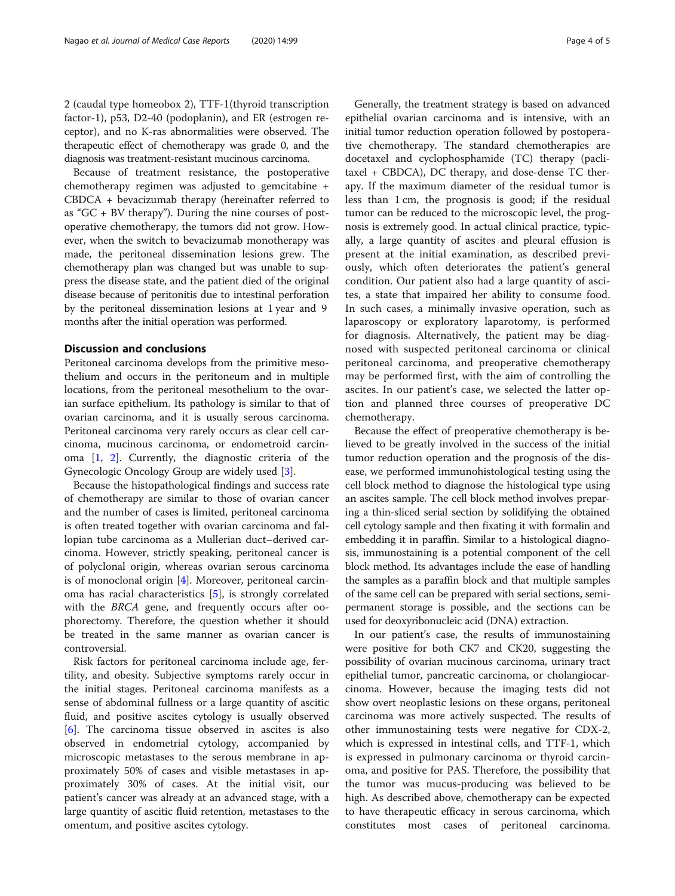2 (caudal type homeobox 2), TTF-1(thyroid transcription factor-1), p53, D2-40 (podoplanin), and ER (estrogen receptor), and no K-ras abnormalities were observed. The therapeutic effect of chemotherapy was grade 0, and the diagnosis was treatment-resistant mucinous carcinoma.

Because of treatment resistance, the postoperative chemotherapy regimen was adjusted to gemcitabine + CBDCA + bevacizumab therapy (hereinafter referred to as " $GC + BV$  therapy"). During the nine courses of postoperative chemotherapy, the tumors did not grow. However, when the switch to bevacizumab monotherapy was made, the peritoneal dissemination lesions grew. The chemotherapy plan was changed but was unable to suppress the disease state, and the patient died of the original disease because of peritonitis due to intestinal perforation by the peritoneal dissemination lesions at 1 year and 9 months after the initial operation was performed.

#### Discussion and conclusions

Peritoneal carcinoma develops from the primitive mesothelium and occurs in the peritoneum and in multiple locations, from the peritoneal mesothelium to the ovarian surface epithelium. Its pathology is similar to that of ovarian carcinoma, and it is usually serous carcinoma. Peritoneal carcinoma very rarely occurs as clear cell carcinoma, mucinous carcinoma, or endometroid carcinoma [[1,](#page-4-0) [2](#page-4-0)]. Currently, the diagnostic criteria of the Gynecologic Oncology Group are widely used [[3\]](#page-4-0).

Because the histopathological findings and success rate of chemotherapy are similar to those of ovarian cancer and the number of cases is limited, peritoneal carcinoma is often treated together with ovarian carcinoma and fallopian tube carcinoma as a Mullerian duct–derived carcinoma. However, strictly speaking, peritoneal cancer is of polyclonal origin, whereas ovarian serous carcinoma is of monoclonal origin [\[4](#page-4-0)]. Moreover, peritoneal carcinoma has racial characteristics [[5\]](#page-4-0), is strongly correlated with the BRCA gene, and frequently occurs after oophorectomy. Therefore, the question whether it should be treated in the same manner as ovarian cancer is controversial.

Risk factors for peritoneal carcinoma include age, fertility, and obesity. Subjective symptoms rarely occur in the initial stages. Peritoneal carcinoma manifests as a sense of abdominal fullness or a large quantity of ascitic fluid, and positive ascites cytology is usually observed [[6\]](#page-4-0). The carcinoma tissue observed in ascites is also observed in endometrial cytology, accompanied by microscopic metastases to the serous membrane in approximately 50% of cases and visible metastases in approximately 30% of cases. At the initial visit, our patient's cancer was already at an advanced stage, with a large quantity of ascitic fluid retention, metastases to the omentum, and positive ascites cytology.

Generally, the treatment strategy is based on advanced epithelial ovarian carcinoma and is intensive, with an initial tumor reduction operation followed by postoperative chemotherapy. The standard chemotherapies are docetaxel and cyclophosphamide (TC) therapy (paclitaxel + CBDCA), DC therapy, and dose-dense TC therapy. If the maximum diameter of the residual tumor is less than 1 cm, the prognosis is good; if the residual tumor can be reduced to the microscopic level, the prognosis is extremely good. In actual clinical practice, typically, a large quantity of ascites and pleural effusion is present at the initial examination, as described previously, which often deteriorates the patient's general condition. Our patient also had a large quantity of ascites, a state that impaired her ability to consume food. In such cases, a minimally invasive operation, such as laparoscopy or exploratory laparotomy, is performed for diagnosis. Alternatively, the patient may be diagnosed with suspected peritoneal carcinoma or clinical peritoneal carcinoma, and preoperative chemotherapy may be performed first, with the aim of controlling the ascites. In our patient's case, we selected the latter option and planned three courses of preoperative DC chemotherapy.

Because the effect of preoperative chemotherapy is believed to be greatly involved in the success of the initial tumor reduction operation and the prognosis of the disease, we performed immunohistological testing using the cell block method to diagnose the histological type using an ascites sample. The cell block method involves preparing a thin-sliced serial section by solidifying the obtained cell cytology sample and then fixating it with formalin and embedding it in paraffin. Similar to a histological diagnosis, immunostaining is a potential component of the cell block method. Its advantages include the ease of handling the samples as a paraffin block and that multiple samples of the same cell can be prepared with serial sections, semipermanent storage is possible, and the sections can be used for deoxyribonucleic acid (DNA) extraction.

In our patient's case, the results of immunostaining were positive for both CK7 and CK20, suggesting the possibility of ovarian mucinous carcinoma, urinary tract epithelial tumor, pancreatic carcinoma, or cholangiocarcinoma. However, because the imaging tests did not show overt neoplastic lesions on these organs, peritoneal carcinoma was more actively suspected. The results of other immunostaining tests were negative for CDX-2, which is expressed in intestinal cells, and TTF-1, which is expressed in pulmonary carcinoma or thyroid carcinoma, and positive for PAS. Therefore, the possibility that the tumor was mucus-producing was believed to be high. As described above, chemotherapy can be expected to have therapeutic efficacy in serous carcinoma, which constitutes most cases of peritoneal carcinoma.